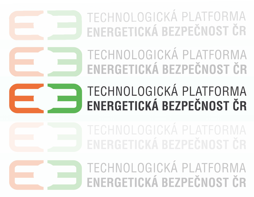TECHNOLOGICKÁ PLATFORMA ENERGETICKÁ BEZPEČNOST ČR

TECHNOLOGICKÁ PLATFORMA ENERGETICKÁ BEZPEČNOST ČR



# TECHNOLOGICKÁ PLATFORMA ENERGETICKÁ BEZPEČNOST ČR

TECHNOLOGICKÁ PLATFORMA ENERGETICKÁ BEZPEČNOST ČR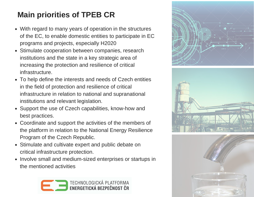### **Main priorities of TPEB CR**

- With regard to many years of operation in the structures of the EC, to enable domestic entities to participate in EC programs and projects, especially H2020
- Stimulate cooperation between companies, research institutions and the state in a key strategic area of increasing the protection and resilience of critical infrastructure.
- To help define the interests and needs of Czech entities in the field of protection and resilience of critical infrastructure in relation to national and supranational institutions and relevant legislation.
- Support the use of Czech capabilities, know-how and best practices.
- Coordinate and support the activities of the members of the platform in relation to the National Energy Resilience Program of the Czech Republic.
- Stimulate and cultivate expert and public debate on critical infrastructure protection.
- Involve small and medium-sized enterprises or startups in the mentioned activities







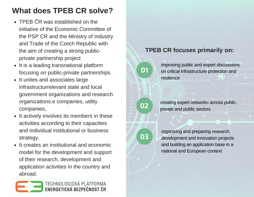### **What does TPEB CR solve?**

- IFLD CR was established on the<br>initiative of the Economic Committee of the PSP CR and the Ministry of Industry<br>and Trade of the Czech Republic with • TPEB CR was established on the and Trade of the Czech Republic with the aim of creating a strong publicprivate partnership project
	- It is a leading transnational platform focusing on public-private partnerships.
	- It unites and associates large infrastructurrelevant state and local government organizations and research organizations.e companies, utility companies,
	- It actively involves its members in these activities according to their capacities and individual institutional or business strategy.
	- It creates an institutional and economic model for the development and support of their research, development and application activities in the country and abroad.



### **TPEB CR focuses primarily on:**



**02**

**03**

improving public and expert discussions on critical infrastructure protection and resilience

creating expert networks across public, private and public sectors

organizing and preparing research, development and innovation projects and building an application base in a national and European context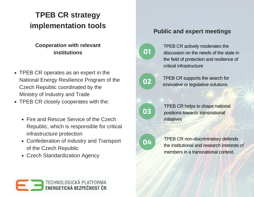## **implementation tools TPEB CR strategy**

### **PROPERTIES Cooperation with relevant institutions**

- TPEB CR operates as an expert in the National Energy Resilience Program of the Czech Republic coordinated by the Ministry of Industry and Trade
- TPEB CR closely cooperates with the:
	- Fire and Rescue Service of the Czech Republic, which is responsible for critical infrastructure protection
	- Confederation of Industry and Transport of the Czech Republic
	- Czech Standardization Agency



### **Public and expert meetings**



TPEB CR actively moderates the discussion on the needs of the state in the field of protection and resilience of critical infrastructure



TPEB CR supports the search for innovative or legislative solutions



TPEB CR helps to shape national positions towards transnational initiatives



TPEB CR non-discriminatory defends the institutional and research interests of members in a transnational context.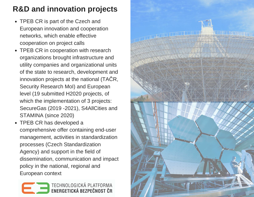### **R&D and innovation projects**

- TPEB CR is part of the Czech and European innovation and cooperation networks, which enable effective cooperation on project calls
- TPEB CR in cooperation with research organizations brought infrastructure and utility companies and organizational units of the state to research, development and innovation projects at the national (TAČR, Security Research MoI) and European level (19 submitted H2020 projects, of which the implementation of 3 projects: SecureGas (2019 -2021), S4AllCities and STAMINA (since 2020)
- TPEB CR has developed a comprehensive offer containing end-user management, activities in standardization processes (Czech Standardization Agency) and support in the field of dissemination, communication and impact policy in the national, regional and European context



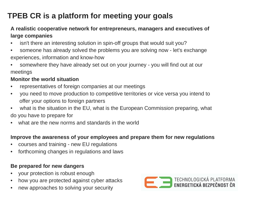### **TPEB CR is a platform for meeting your goals**

#### **A realistic cooperative network for entrepreneurs, managers and executives of large companies**

- isn't there an interesting solution in spin-off groups that would suit you?
- someone has already solved the problems you are solving now let's exchange experiences, information and know-how
- somewhere they have already set out on your journey you will find out at our meetings

#### **Monitor the world situation**

- representatives of foreign companies at our meetings
- you need to move production to competitive territories or vice versa you intend to offer your options to foreign partners
- what is the situation in the EU, what is the European Commission preparing, what do you have to prepare for
- what are the new norms and standards in the world

#### **Improve the awareness of your employees and prepare them for new regulations**

- courses and training new EU regulations
- forthcoming changes in regulations and laws

#### **Be prepared for new dangers**

- your protection is robust enough
- how you are protected against cyber attacks
- new approaches to solving your security

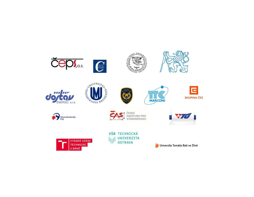